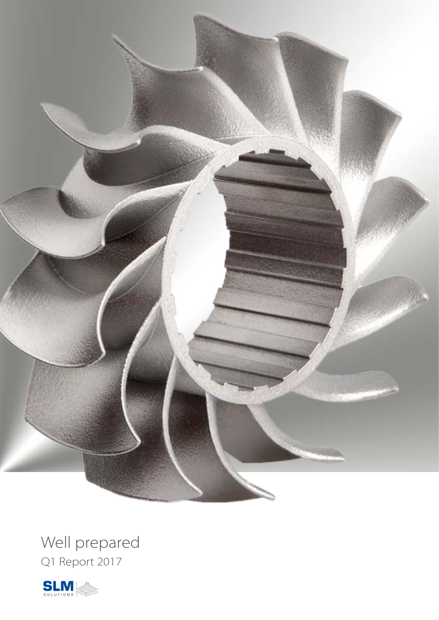

Well prepared Q1 Report 2017

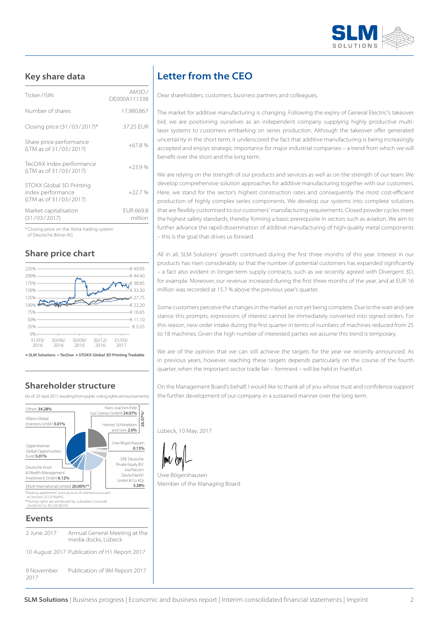

## **Key share data**

| Market capitalisation<br>(31/03/2017)                                   | <b>FUR 669.8</b><br>million |
|-------------------------------------------------------------------------|-----------------------------|
| STOXX Global 3D Printing<br>index performance<br>(LTM as of 31/03/2017) | $+22.7%$                    |
| TecDAX index performance<br>(LTM as of 31/03/2017)                      | $+23.9%$                    |
| Share price performance<br>(LTM as of 31/03/2017)                       | $+67.8%$                    |
| Closing price (31/03/2017)*                                             | 37.25 EUR                   |
| Number of shares                                                        | 17,980,867                  |
| Ticker/ISIN                                                             | AM3D/<br>DF000A111338       |

\* Closing price on the Xetra trading system of Deutsche Börse AG

#### **Share price chart**



**– SLM Solutions – TecDax – STOXX Global 3D Printing Tradable**

## **Shareholder structure**

(As of: 25 April 2017, resulting from public voting rights announcements)



| 2 June 2017 | Annual General Meet<br>media docks, Lübeck |
|-------------|--------------------------------------------|
|             |                                            |

10 August 2017 Publication of H1 Report 2017 9 November 2017 Publication of 9M Report 2017

# **Letter from the CEO**

Dear shareholders, customers, business partners and colleagues,

The market for additive manufacturing is changing. Following the expiry of General Electric's takeover bid, we are positioning ourselves as an independent company supplying highly productive multilaser systems to customers embarking on series production. Although the takeover offer generated uncertainty in the short term, it underscored the fact that additive manufacturing is being increasingly accepted and enjoys strategic importance for major industrial companies – a trend from which we will benefit over the short and the long term.

We are relying on the strength of our products and services as well as on the strength of our team. We develop comprehensive solution approaches for additive manufacturing together with our customers. Here, we stand for the sector's highest construction rates and consequently the most cost-efficient production of highly complex series components. We develop our systems into complete solutions that are flexibly customised to our customers' manufacturing requirements. Closed powder cycles meet the highest safety standards, thereby forming a basic prerequisite in sectors such as aviation. We aim to further advance the rapid dissemination of additive manufacturing of high-quality metal components – this is the goal that drives us forward.

All in all, SLM Solutions' growth continued during the first three months of this year. Interest in our products has risen considerably so that the number of potential customers has expanded significantly – a fact also evident in longer-term supply contracts, such as we recently agreed with Divergent 3D, for example. Moreover, our revenue increased during the first three months of the year, and at EUR 16 million was recorded at 15.7 % above the previous year's quarter.

Some customers perceive the changes in the market as not yet being complete. Due to the wait-and-see stance this prompts, expressions of interest cannot be immediately converted into signed orders. For this reason, new order intake during the first quarter in terms of numbers of machines reduced from 25 to 18 machines. Given the high number of interested parties we assume this trend is temporary.

We are of the opinion that we can still achieve the targets for the year we recently announced. As in previous years, however, reaching these targets depends particularly on the course of the fourth quarter, when the important sector trade fair – formnext – will be held in Frankfurt.

On the Management Board's behalf, I would like to thank all of you whose trust and confidence support the further development of our company in a sustained manner over the long term.

Lübeck, 10 May, 2017

Uwe Bögershausen Member of the Managing Board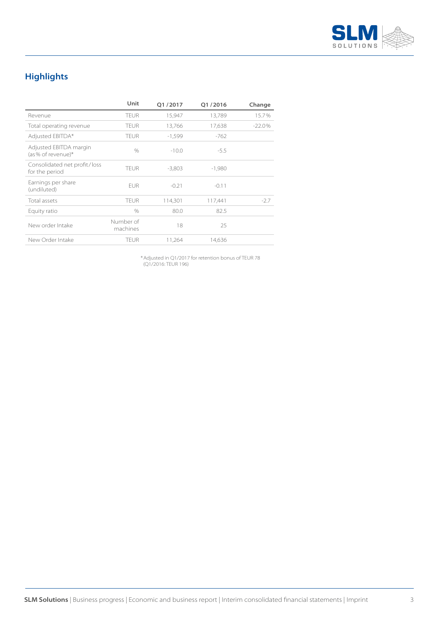

# **Highlights**

|                                                | Unit                  | O1/2017  | O1/2016  | Change   |
|------------------------------------------------|-----------------------|----------|----------|----------|
| Revenue                                        | <b>TEUR</b>           | 15,947   | 13,789   | 15.7%    |
| Total operating revenue                        | <b>TEUR</b>           | 13,766   | 17,638   | $-22.0%$ |
| Adjusted EBITDA*                               | <b>TEUR</b>           | $-1.599$ | $-762$   |          |
| Adjusted EBITDA margin<br>$(as % of revenue)*$ | $\%$                  | $-10.0$  | $-5.5$   |          |
| Consolidated net profit/loss<br>for the period | <b>TEUR</b>           | $-3,803$ | $-1,980$ |          |
| Earnings per share<br>(undiluted)              | <b>FUR</b>            | $-0.21$  | $-0.11$  |          |
| Total assets                                   | <b>TEUR</b>           | 114,301  | 117,441  | $-2.7$   |
| Equity ratio                                   | $\%$                  | 80.0     | 82.5     |          |
| New order Intake                               | Number of<br>machines | 18       | 25       |          |
| New Order Intake                               | <b>TEUR</b>           | 11.264   | 14,636   |          |

\* Adjusted in Q1/2017 for retention bonus of TEUR 78 (Q1/2016: TEUR 196)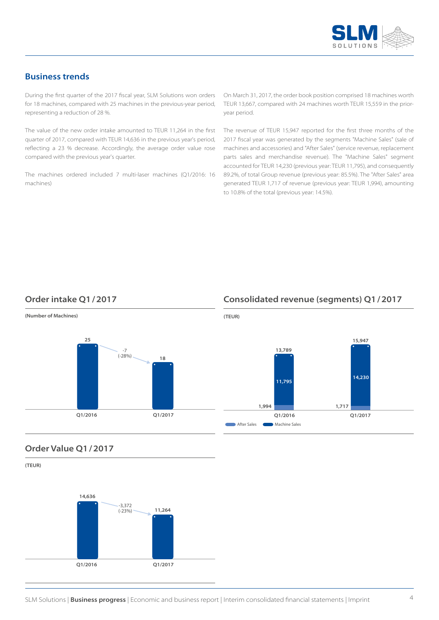

## **Business trends**

During the first quarter of the 2017 fiscal year, SLM Solutions won orders for 18 machines, compared with 25 machines in the previous-year period, representing a reduction of 28 %.

The value of the new order intake amounted to TEUR 11,264 in the first quarter of 2017, compared with TEUR 14,636 in the previous year's period, reflecting a 23 % decrease. Accordingly, the average order value rose compared with the previous year's quarter.

The machines ordered included 7 multi-laser machines (Q1/2016: 16 machines)

On March 31, 2017, the order book position comprised 18 machines worth TEUR 13,667, compared with 24 machines worth TEUR 15,559 in the prioryear period.

The revenue of TEUR 15,947 reported for the first three months of the 2017 fiscal year was generated by the segments "Machine Sales" (sale of machines and accessories) and "After Sales" (service revenue, replacement parts sales and merchandise revenue). The "Machine Sales" segment accounted for TEUR 14,230 (previous year: TEUR 11,795), and consequently 89.2%, of total Group revenue (previous year: 85.5%). The "After Sales" area generated TEUR 1,717 of revenue (previous year: TEUR 1,994), amounting to 10.8% of the total (previous year: 14.5%).

## **Order intake Q1/2017**

**(Number of Machines)**



## **Consolidated revenue (segments) Q1/2017**



#### **Order Value Q1/2017**

**(TEUR)**

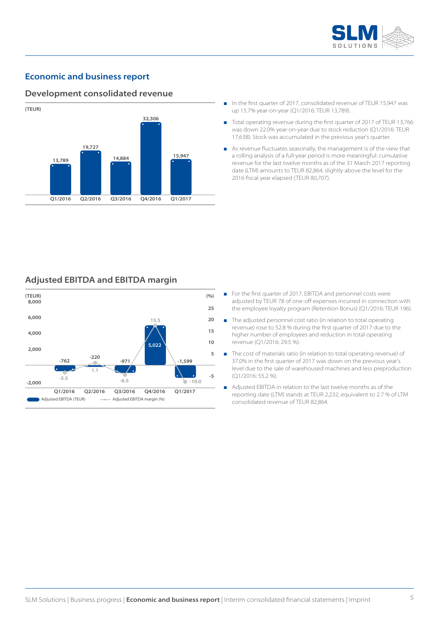

## **Economic and business report**

#### **Development consolidated revenue**



- In the first quarter of 2017, consolidated revenue of TEUR 15,947 was up 15.7% year-on-year (Q1/2016: TEUR 13,789).
- Total operating revenue during the first quarter of 2017 of TEUR 13,766 was down 22.0% year-on-year due to stock reduction (Q1/2016: TEUR 17,638). Stock was accumulated in the previous year's quarter.
- As revenue fluctuates seasonally, the management is of the view that a rolling analysis of a full-year period is more meaningful: cumulative revenue for the last twelve months as of the 31 March 2017 reporting date (LTM) amounts to TEUR 82,864, slightly above the level for the 2016 fiscal year elapsed (TEUR 80,707).

#### **Adjusted EBITDA and EBITDA margin**



- For the first quarter of 2017, EBITDA and personnel costs were adjusted by TEUR 78 of one-off expenses incurred in connection with the employee loyalty program (Retention Bonus) (Q1/2016: TEUR 196).
- The adjusted personnel cost ratio (in relation to total operating revenue) rose to 52.8 % during the first quarter of 2017 due to the higher number of employees and reduction in total operating revenue (Q1/2016: 29.5 %).
- The cost of materials ratio (in relation to total operating revenue) of 37.0% in the first quarter of 2017 was down on the previous year's level due to the sale of warehoused machines and less preproduction (Q1/2016: 55.2 %).
- Adjusted EBITDA in relation to the last twelve months as of the reporting date (LTM) stands at TEUR 2,232, equivalent to 2.7 % of LTM consolidated revenue of TEUR 82,864.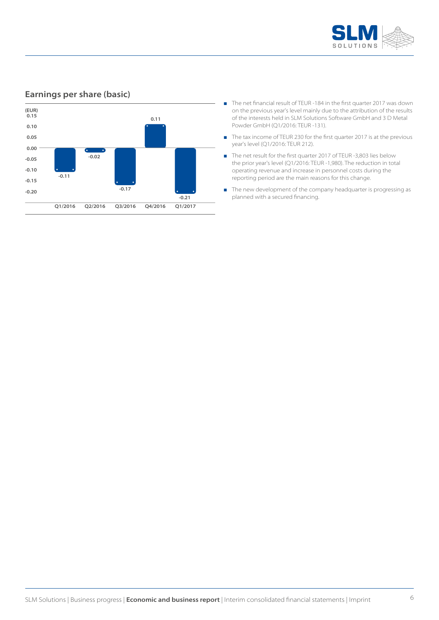

## **Earnings per share (basic)**



- The net financial result of TEUR -184 in the first quarter 2017 was down on the previous year's level mainly due to the attribution of the results of the interests held in SLM Solutions Software GmbH and 3 D Metal Powder GmbH (Q1/2016: TEUR -131).
- The tax income of TEUR 230 for the first quarter 2017 is at the previous year's level (Q1/2016: TEUR 212).
- The net result for the first quarter 2017 of TEUR -3,803 lies below the prior year's level (Q1/2016: TEUR -1,980). The reduction in total operating revenue and increase in personnel costs during the reporting period are the main reasons for this change.
- The new development of the company headquarter is progressing as planned with a secured financing.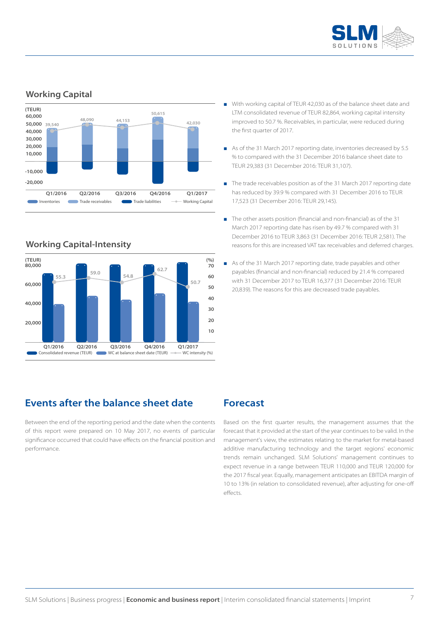

## **Working Capital**



## **Working Capital-Intensity**



- With working capital of TEUR 42,030 as of the balance sheet date and LTM consolidated revenue of TEUR 82,864, working capital intensity improved to 50.7 %. Receivables, in particular, were reduced during the first quarter of 2017.
- As of the 31 March 2017 reporting date, inventories decreased by 5.5 % to compared with the 31 December 2016 balance sheet date to TEUR 29,383 (31 December 2016: TEUR 31,107).
- The trade receivables position as of the 31 March 2017 reporting date has reduced by 39.9 % compared with 31 December 2016 to TEUR 17,523 (31 December 2016: TEUR 29,145).
- The other assets position (financial and non-financial) as of the 31 March 2017 reporting date has risen by 49.7 % compared with 31 December 2016 to TEUR 3,863 (31 December 2016: TEUR 2,581). The reasons for this are increased VAT tax receivables and deferred charges.
- As of the 31 March 2017 reporting date, trade payables and other payables (financial and non-financial) reduced by 21.4 % compared with 31 December 2017 to TEUR 16,377 (31 December 2016: TEUR 20,839). The reasons for this are decreased trade payables.

## **Events after the balance sheet date**

Between the end of the reporting period and the date when the contents of this report were prepared on 10 May 2017, no events of particular significance occurred that could have effects on the financial position and performance.

## **Forecast**

Based on the first quarter results, the management assumes that the forecast that it provided at the start of the year continues to be valid. In the management's view, the estimates relating to the market for metal-based additive manufacturing technology and the target regions' economic trends remain unchanged. SLM Solutions' management continues to expect revenue in a range between TEUR 110,000 and TEUR 120,000 for the 2017 fiscal year. Equally, management anticipates an EBITDA margin of 10 to 13% (in relation to consolidated revenue), after adjusting for one-off effects.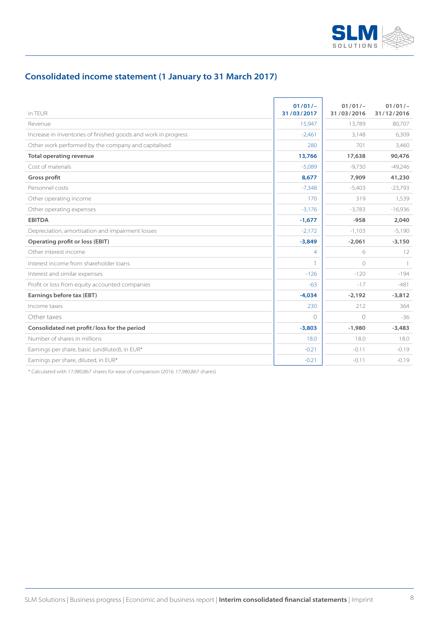

## **Consolidated income statement (1 January to 31 March 2017)**

| in TEUR                                                        | $01/01/-$<br>31/03/2017 | $01/01/-$<br>31/03/2016 | $01/01/-$<br>31/12/2016 |
|----------------------------------------------------------------|-------------------------|-------------------------|-------------------------|
| Revenue                                                        | 15,947                  | 13,789                  | 80,707                  |
| Increase in inventories of finished goods and work in progress | $-2,461$                | 3,148                   | 6,309                   |
| Other work performed by the company and capitalised            | 280                     | 701                     | 3,460                   |
| <b>Total operating revenue</b>                                 | 13,766                  | 17,638                  | 90,476                  |
| Cost of materials                                              | $-5,089$                | $-9.730$                | $-49,246$               |
| Gross profit                                                   | 8,677                   | 7,909                   | 41,230                  |
| Personnel costs                                                | $-7,348$                | $-5,403$                | $-23,793$               |
| Other operating income                                         | 170                     | 319                     | 1,539                   |
| Other operating expenses                                       | $-3,176$                | $-3,783$                | $-16,936$               |
| <b>EBITDA</b>                                                  | $-1,677$                | $-958$                  | 2,040                   |
| Depreciation, amortisation and impairment losses               | $-2,172$                | $-1,103$                | $-5,190$                |
| Operating profit or loss (EBIT)                                | $-3,849$                | $-2,061$                | $-3,150$                |
| Other interest income                                          | $\overline{4}$          | 6                       | 12                      |
| Interest income from shareholder loans                         |                         | $\bigcirc$              | $\overline{1}$          |
| Interest and similar expenses                                  | $-126$                  | $-120$                  | $-194$                  |
| Profit or loss from equity accounted companies                 | $-63$                   | $-17$                   | $-481$                  |
| Earnings before tax (EBT)                                      | $-4,034$                | $-2,192$                | $-3,812$                |
| Income taxes                                                   | 230                     | 212                     | 364                     |
| Other taxes                                                    | $\cap$                  | $\circ$                 | $-36$                   |
| Consolidated net profit/loss for the period                    | $-3,803$                | $-1,980$                | $-3,483$                |
| Number of shares in millions                                   | 18.0                    | 18.0                    | 18.0                    |
| Earnings per share, basic (undiluted), in EUR*                 | $-0.21$                 | $-0.11$                 | $-0.19$                 |
| Earnings per share, diluted, in EUR*                           | $-0.21$                 | $-0.11$                 | $-0.19$                 |

\* Calculated with 17,980,867 shares for ease of comparison (2016: 17,980,867 shares)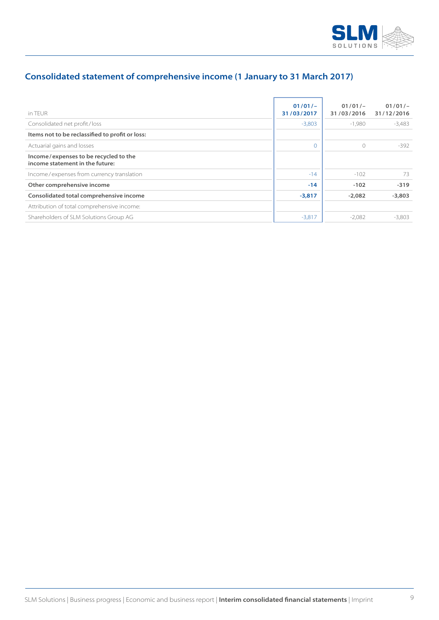

## **Consolidated statement of comprehensive income (1 January to 31 March 2017)**

| in TFUR                                                                  | $01/01/-$<br>31/03/2017 | $01/01/-$<br>31/03/2016 | $01/01/-$<br>31/12/2016 |
|--------------------------------------------------------------------------|-------------------------|-------------------------|-------------------------|
| Consolidated net profit/loss                                             | $-3,803$                | $-1,980$                | $-3,483$                |
| Items not to be reclassified to profit or loss:                          |                         |                         |                         |
| Actuarial gains and losses                                               | $\Omega$                | $\bigcirc$              | $-392$                  |
| Income/expenses to be recycled to the<br>income statement in the future: |                         |                         |                         |
| Income/expenses from currency translation                                | $-14$                   | $-102$                  | 73                      |
| Other comprehensive income                                               | $-14$                   | $-102$                  | $-319$                  |
| Consolidated total comprehensive income                                  | $-3,817$                | $-2,082$                | $-3,803$                |
| Attribution of total comprehensive income:                               |                         |                         |                         |
| Shareholders of SLM Solutions Group AG                                   | $-3,817$                | $-2,082$                | $-3.803$                |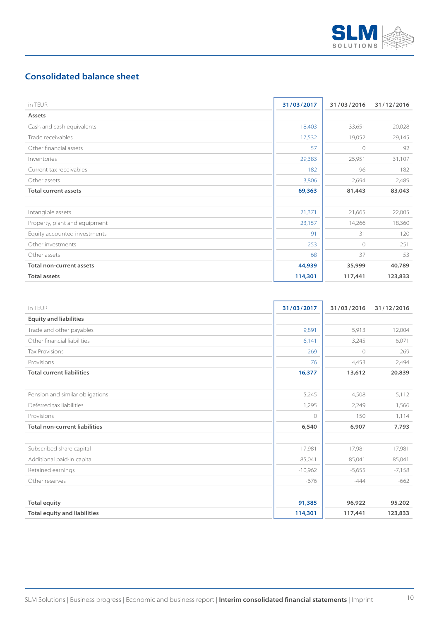

## **Consolidated balance sheet**

| in TEUR                       | 31/03/2017 | 31/03/2016 | 31/12/2016 |
|-------------------------------|------------|------------|------------|
| Assets                        |            |            |            |
| Cash and cash equivalents     | 18,403     | 33,651     | 20,028     |
| Trade receivables             | 17,532     | 19,052     | 29,145     |
| Other financial assets        | 57         | $\circ$    | 92         |
| Inventories                   | 29,383     | 25,951     | 31,107     |
| Current tax receivables       | 182        | 96         | 182        |
| Other assets                  | 3,806      | 2,694      | 2,489      |
| <b>Total current assets</b>   | 69,363     | 81,443     | 83,043     |
|                               |            |            |            |
| Intangible assets             | 21,371     | 21,665     | 22,005     |
| Property, plant and equipment | 23,157     | 14,266     | 18,360     |
| Equity accounted investments  | 91         | 31         | 120        |
| Other investments             | 253        | $\circ$    | 251        |
| Other assets                  | 68         | 37         | 53         |
| Total non-current assets      | 44,939     | 35,999     | 40,789     |
| <b>Total assets</b>           | 114,301    | 117,441    | 123,833    |

| in TFUR                              | 31/03/2017 | 31/03/2016 | 31/12/2016 |
|--------------------------------------|------------|------------|------------|
| <b>Equity and liabilities</b>        |            |            |            |
| Trade and other payables             | 9,891      | 5,913      | 12,004     |
| Other financial liabilities          | 6,141      | 3,245      | 6,071      |
| <b>Tax Provisions</b>                | 269        | $\circ$    | 269        |
| Provisions                           | 76         | 4,453      | 2,494      |
| <b>Total current liabilities</b>     | 16,377     | 13,612     | 20,839     |
|                                      |            |            |            |
| Pension and similar obligations      | 5,245      | 4,508      | 5,112      |
| Deferred tax liabilities             | 1,295      | 2,249      | 1,566      |
| Provisions                           | $\bigcirc$ | 150        | 1,114      |
| <b>Total non-current liabilities</b> | 6,540      | 6,907      | 7,793      |
| Subscribed share capital             | 17,981     | 17,981     | 17,981     |
| Additional paid-in capital           | 85,041     | 85,041     | 85,041     |
| Retained earnings                    | $-10,962$  | $-5,655$   | $-7,158$   |
| Other reserves                       | $-676$     | $-444$     | $-662$     |
| <b>Total equity</b>                  | 91,385     | 96,922     | 95,202     |
| <b>Total equity and liabilities</b>  | 114,301    | 117,441    | 123,833    |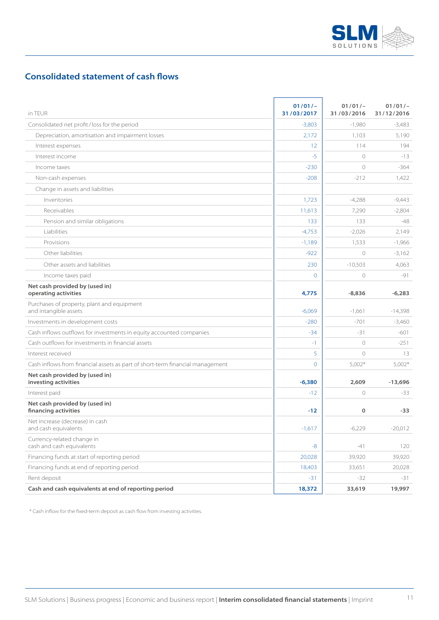

## **Consolidated statement of cash flows**

| in TEUR                                                                       | $01/01/-$<br>31/03/2017 | $01/01/-$<br>31/03/2016 | $01/01/-$<br>31/12/2016 |
|-------------------------------------------------------------------------------|-------------------------|-------------------------|-------------------------|
| Consolidated net profit/loss for the period                                   | $-3,803$                | $-1,980$                | -3,483                  |
| Depreciation, amortisation and impairment losses                              | 2,172                   | 1,103                   | 5,190                   |
| Interest expenses                                                             | 12                      | 114                     | 194                     |
| Interest income                                                               | $-5$                    | $\circ$                 | $-13$                   |
| Income taxes                                                                  | $-230$                  | $\circ$                 | $-364$                  |
| Non-cash expenses                                                             | $-208$                  | $-212$                  | 1,422                   |
| Change in assets and liabilities                                              |                         |                         |                         |
| Inventories                                                                   | 1,723                   | $-4,288$                | $-9,443$                |
| Receivables                                                                   | 11,613                  | 7,290                   | $-2,804$                |
| Pension and similar obligations                                               | 133                     | 133                     | $-48$                   |
| Liabilities                                                                   | $-4,753$                | $-2,026$                | 2,149                   |
| Provisions                                                                    | $-1,189$                | 1,533                   | $-1,966$                |
| Other liabilities                                                             | $-922$                  | $\circ$                 | $-3,162$                |
| Other assets and liabilities                                                  | 230                     | $-10,503$               | 4,063                   |
| Income taxes paid                                                             | $\overline{0}$          | $\circlearrowright$     | $-91$                   |
| Net cash provided by (used in)<br>operating activities                        | 4,775                   | $-8,836$                | $-6,283$                |
| Purchases of property, plant and equipment<br>and intangible assets           | $-6,069$                | $-1,661$                | $-14,398$               |
| Investments in development costs                                              | $-280$                  | $-701$                  | $-3,460$                |
| Cash inflows outflows for investments in equity accounted companies           | $-34$                   | $-31$                   | $-601$                  |
| Cash outflows for investments in financial assets                             | -1                      | $\circ$                 | $-251$                  |
| Interest received                                                             | 5                       | $\circ$                 | 13                      |
| Cash inflows from financial assets as part of short-term financial management | $\overline{O}$          | $5,002*$                | $5,002*$                |
| Net cash provided by (used in)<br>investing activities                        | $-6,380$                | 2,609                   | $-13,696$               |
| Interest paid                                                                 | $-12$                   | $\circ$                 | $-33$                   |
| Net cash provided by (used in)<br>financing activities                        | $-12$                   | 0                       | $-33$                   |
| Net increase (decrease) in cash<br>and cash equivalents                       | $-1,617$                | $-6,229$                | $-20,012$               |
| Currency-related change in<br>cash and cash equivalents                       | -8                      | -41                     | 120                     |
| Financing funds at start of reporting period                                  | 20,028                  | 39,920                  | 39,920                  |
| Financing funds at end of reporting period                                    | 18,403                  | 33,651                  | 20,028                  |
| Rent deposit                                                                  | -31                     | -32                     | -31                     |
| Cash and cash equivalents at end of reporting period                          | 18,372                  | 33,619                  | 19,997                  |

\* Cash inflow for the fixed-term deposit as cash flow from investing activities.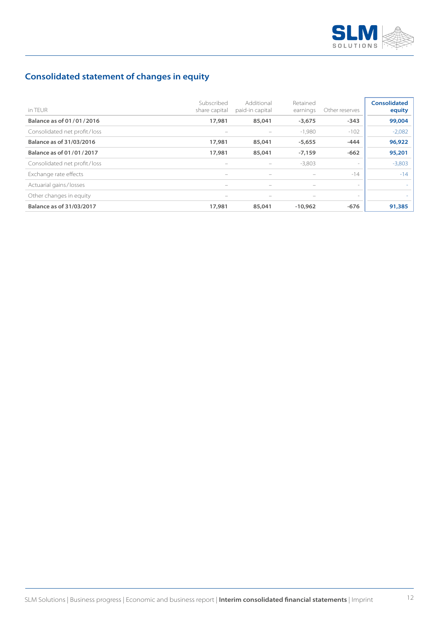

## **Consolidated statement of changes in equity**

| in TFUR                      | Subscribed<br>share capital | Additional<br>paid-in capital | Retained<br>earnings | Other reserves | <b>Consolidated</b><br>equity |
|------------------------------|-----------------------------|-------------------------------|----------------------|----------------|-------------------------------|
| Balance as of 01/01/2016     | 17,981                      | 85,041                        | $-3,675$             | $-343$         | 99,004                        |
| Consolidated net profit/loss |                             |                               | $-1,980$             | $-102$         | $-2,082$                      |
| Balance as of 31/03/2016     | 17,981                      | 85,041                        | $-5,655$             | $-444$         | 96,922                        |
| Balance as of 01/01/2017     | 17,981                      | 85,041                        | $-7,159$             | $-662$         | 95,201                        |
| Consolidated net profit/loss | $\overline{\phantom{m}}$    | $\qquad \qquad -$             | $-3,803$             | $\sim$         | $-3,803$                      |
| Exchange rate effects        | $\overline{\phantom{m}}$    | $\qquad \qquad$               |                      | $-14$          | $-14$                         |
| Actuarial gains/losses       | $\overline{\phantom{m}}$    | $\overline{\phantom{0}}$      |                      | $\sim$         |                               |
| Other changes in equity      | $\overline{\phantom{m}}$    | $\overline{\phantom{m}}$      |                      | $\sim$         |                               |
| Balance as of 31/03/2017     | 17,981                      | 85,041                        | $-10.962$            | $-676$         | 91,385                        |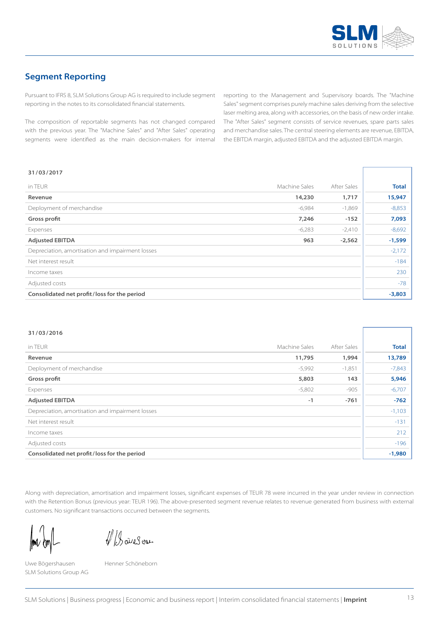

## **Segment Reporting**

Pursuant to IFRS 8, SLM Solutions Group AG is required to include segment reporting in the notes to its consolidated financial statements.

The composition of reportable segments has not changed compared with the previous year. The "Machine Sales" and "After Sales" operating segments were identified as the main decision-makers for internal reporting to the Management and Supervisory boards. The "Machine Sales" segment comprises purely machine sales deriving from the selective laser melting area, along with accessories, on the basis of new order intake. The "After Sales" segment consists of service revenues, spare parts sales and merchandise sales. The central steering elements are revenue, EBITDA, the EBITDA margin, adjusted EBITDA and the adjusted EBITDA margin.

#### **31/03/2017**

| in TEUR                                          | Machine Sales | After Sales | <b>Total</b> |
|--------------------------------------------------|---------------|-------------|--------------|
|                                                  |               |             |              |
| Revenue                                          | 14,230        | 1,717       | 15,947       |
| Deployment of merchandise                        | $-6,984$      | $-1,869$    | $-8,853$     |
| Gross profit                                     | 7,246         | $-152$      | 7,093        |
| Expenses                                         | $-6,283$      | $-2,410$    | $-8,692$     |
| <b>Adjusted EBITDA</b>                           | 963           | $-2,562$    | $-1,599$     |
| Depreciation, amortisation and impairment losses |               |             | $-2,172$     |
| Net interest result                              |               |             | $-184$       |
| Income taxes                                     |               |             | 230          |
| Adjusted costs                                   |               |             | $-78$        |
| Consolidated net profit/loss for the period      |               |             | $-3,803$     |

#### **31/03/2016**

| in TEUR                                          | Machine Sales | After Sales | <b>Total</b> |
|--------------------------------------------------|---------------|-------------|--------------|
| Revenue                                          | 11,795        | 1,994       | 13,789       |
| Deployment of merchandise                        | $-5,992$      | $-1,851$    | $-7,843$     |
| Gross profit                                     | 5,803         | 143         | 5,946        |
| Expenses                                         | $-5,802$      | $-905$      | $-6,707$     |
| <b>Adjusted EBITDA</b>                           | $-1$          | $-761$      | $-762$       |
| Depreciation, amortisation and impairment losses |               |             | $-1,103$     |
| Net interest result                              |               |             | $-131$       |
| Income taxes                                     |               |             | 212          |
| Adjusted costs                                   |               |             | $-196$       |
| Consolidated net profit/loss for the period      |               |             | $-1,980$     |

Along with depreciation, amortisation and impairment losses, significant expenses of TEUR 78 were incurred in the year under review in connection with the Retention Bonus (previous year: TEUR 196). The above-presented segment revenue relates to revenue generated from business with external customers. No significant transactions occurred between the segments.

llmv &r

VBareson

Uwe Bögershausen Henner Schöneborn SLM Solutions Group AG